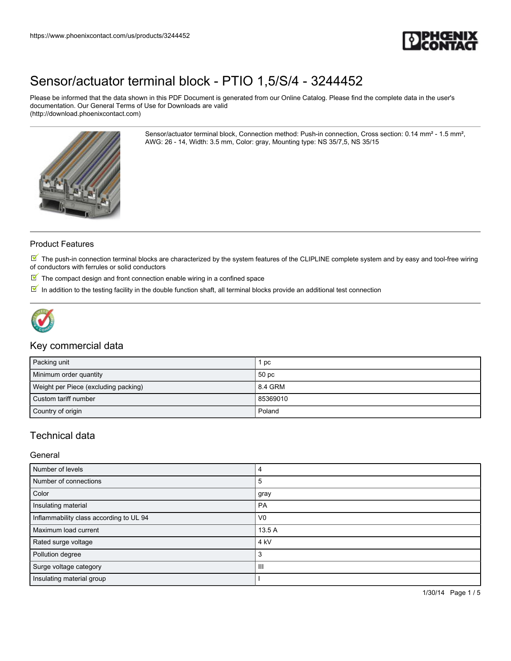

Please be informed that the data shown in this PDF Document is generated from our Online Catalog. Please find the complete data in the user's documentation. Our General Terms of Use for Downloads are valid (http://download.phoenixcontact.com)

> Sensor/actuator terminal block, Connection method: Push-in connection, Cross section: 0.14 mm² - 1.5 mm², AWG: 26 - 14, Width: 3.5 mm, Color: gray, Mounting type: NS 35/7,5, NS 35/15



### Product Features

 $\mathbb N$  The push-in connection terminal blocks are characterized by the system features of the CLIPLINE complete system and by easy and tool-free wiring of conductors with ferrules or solid conductors

- $\mathbb F$  The compact design and front connection enable wiring in a confined space
- $\overline{\mathbb{M}}$  In addition to the testing facility in the double function shaft, all terminal blocks provide an additional test connection



### Key commercial data

| Packing unit                         | рc       |
|--------------------------------------|----------|
| Minimum order quantity               | 50 pc    |
| Weight per Piece (excluding packing) | 8.4 GRM  |
| Custom tariff number                 | 85369010 |
| Country of origin                    | Poland   |

## Technical data

### General

| Number of levels                        |                 |
|-----------------------------------------|-----------------|
| Number of connections                   | 5               |
| Color                                   | gray            |
| Insulating material                     | PA              |
| Inflammability class according to UL 94 | V <sub>0</sub>  |
| Maximum load current                    | 13.5 A          |
| Rated surge voltage                     | 4 <sub>kV</sub> |
| Pollution degree                        | 3               |
| Surge voltage category                  | Ш               |
| Insulating material group               |                 |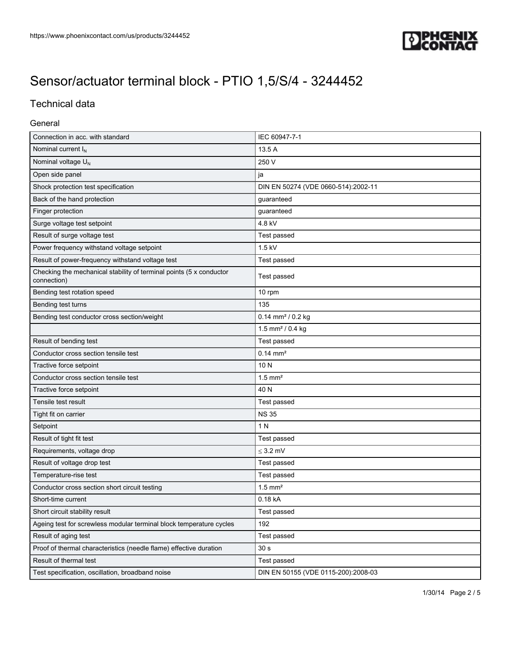

## Technical data

### General

| Connection in acc. with standard                                                   | IEC 60947-7-1                       |
|------------------------------------------------------------------------------------|-------------------------------------|
| Nominal current I <sub>N</sub>                                                     | 13.5 A                              |
| Nominal voltage U <sub>N</sub>                                                     | 250 V                               |
| Open side panel                                                                    | ja                                  |
| Shock protection test specification                                                | DIN EN 50274 (VDE 0660-514):2002-11 |
| Back of the hand protection                                                        | guaranteed                          |
| Finger protection                                                                  | guaranteed                          |
| Surge voltage test setpoint                                                        | 4.8 kV                              |
| Result of surge voltage test                                                       | Test passed                         |
| Power frequency withstand voltage setpoint                                         | $1.5$ kV                            |
| Result of power-frequency withstand voltage test                                   | Test passed                         |
| Checking the mechanical stability of terminal points (5 x conductor<br>connection) | Test passed                         |
| Bending test rotation speed                                                        | 10 rpm                              |
| Bending test turns                                                                 | 135                                 |
| Bending test conductor cross section/weight                                        | $0.14$ mm <sup>2</sup> / $0.2$ kg   |
|                                                                                    | 1.5 mm <sup>2</sup> / 0.4 kg        |
| Result of bending test                                                             | Test passed                         |
| Conductor cross section tensile test                                               | $0.14 \, \text{mm}^2$               |
| Tractive force setpoint                                                            | 10N                                 |
| Conductor cross section tensile test                                               | $1.5$ mm <sup>2</sup>               |
| Tractive force setpoint                                                            | 40 N                                |
| Tensile test result                                                                | Test passed                         |
| Tight fit on carrier                                                               | <b>NS 35</b>                        |
| Setpoint                                                                           | 1 N                                 |
| Result of tight fit test                                                           | Test passed                         |
| Requirements, voltage drop                                                         | $\leq$ 3.2 mV                       |
| Result of voltage drop test                                                        | Test passed                         |
| Temperature-rise test                                                              | Test passed                         |
| Conductor cross section short circuit testing                                      | $1.5$ mm <sup>2</sup>               |
| Short-time current                                                                 | 0.18 kA                             |
| Short circuit stability result                                                     | Test passed                         |
| Ageing test for screwless modular terminal block temperature cycles                | 192                                 |
| Result of aging test                                                               | Test passed                         |
| Proof of thermal characteristics (needle flame) effective duration                 | 30 <sub>s</sub>                     |
| Result of thermal test                                                             | Test passed                         |
| Test specification, oscillation, broadband noise                                   | DIN EN 50155 (VDE 0115-200):2008-03 |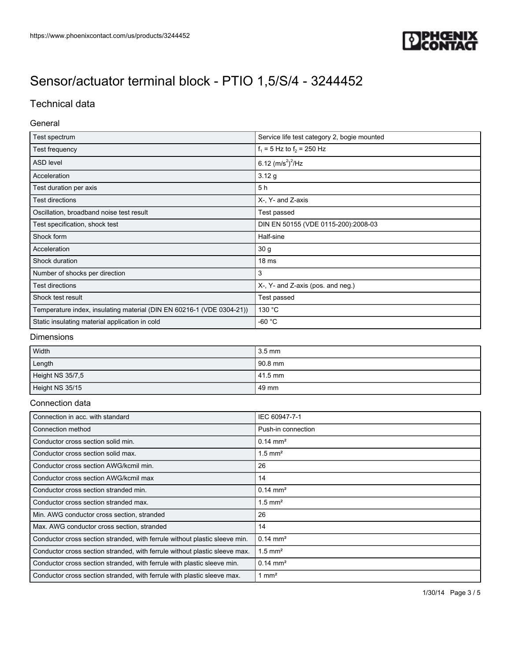

## Technical data

### General

| Test spectrum                                                         | Service life test category 2, bogie mounted |
|-----------------------------------------------------------------------|---------------------------------------------|
| Test frequency                                                        | $f_1 = 5$ Hz to $f_2 = 250$ Hz              |
| <b>ASD level</b>                                                      | 6.12 $(m/s^2)^2$ /Hz                        |
| Acceleration                                                          | 3.12 g                                      |
| Test duration per axis                                                | 5 h                                         |
| Test directions                                                       | X-, Y- and Z-axis                           |
| Oscillation, broadband noise test result                              | Test passed                                 |
| Test specification, shock test                                        | DIN EN 50155 (VDE 0115-200):2008-03         |
| Shock form                                                            | Half-sine                                   |
| Acceleration                                                          | 30 g                                        |
| Shock duration                                                        | 18 <sub>ms</sub>                            |
| Number of shocks per direction                                        | 3                                           |
| Test directions                                                       | X-, Y- and Z-axis (pos. and neg.)           |
| Shock test result                                                     | Test passed                                 |
| Temperature index, insulating material (DIN EN 60216-1 (VDE 0304-21)) | 130 °C                                      |
| Static insulating material application in cold                        | -60 $^{\circ}$ C                            |

### Dimensions

| Width            | $3.5 \text{ mm}$ |
|------------------|------------------|
| Length           | $190.8$ mm       |
| Height NS 35/7,5 | $141.5$ mm       |
| Height NS 35/15  | l 49 mm          |

#### Connection data

| Connection in acc. with standard                                           | IEC 60947-7-1         |
|----------------------------------------------------------------------------|-----------------------|
| Connection method                                                          | Push-in connection    |
| Conductor cross section solid min.                                         | $0.14 \text{ mm}^2$   |
| Conductor cross section solid max.                                         | $1.5$ mm <sup>2</sup> |
| Conductor cross section AWG/kcmil min.                                     | 26                    |
| Conductor cross section AWG/kcmil max                                      | 14                    |
| Conductor cross section stranded min.                                      | $0.14 \text{ mm}^2$   |
| Conductor cross section stranded max.                                      | $1.5$ mm <sup>2</sup> |
| Min. AWG conductor cross section, stranded                                 | 26                    |
| Max. AWG conductor cross section, stranded                                 | 14                    |
| Conductor cross section stranded, with ferrule without plastic sleeve min. | $0.14 \text{ mm}^2$   |
| Conductor cross section stranded, with ferrule without plastic sleeve max. | $1.5$ mm <sup>2</sup> |
| Conductor cross section stranded, with ferrule with plastic sleeve min.    | $0.14 \text{ mm}^2$   |
| Conductor cross section stranded, with ferrule with plastic sleeve max.    | $1 \text{ mm}^2$      |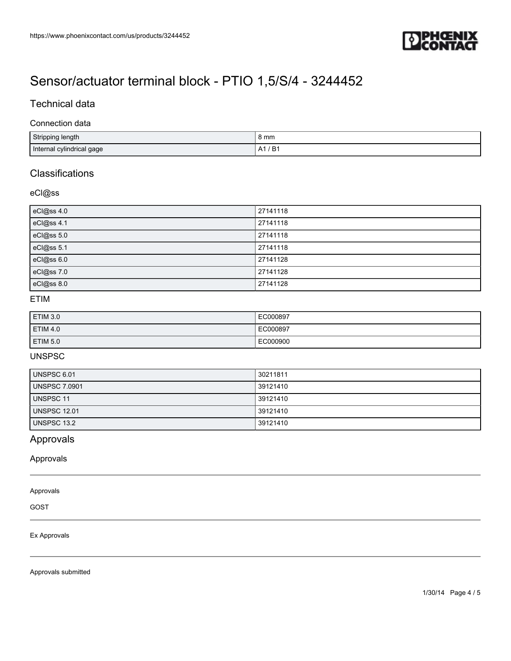

## Technical data

#### Connection data

| Stripping length          | 8 mm                           |
|---------------------------|--------------------------------|
| Internal cylindrical gage | ּ ה<br>Δ″<br>D<br>$\mathsf{A}$ |

## **Classifications**

### eCl@ss

| eCl@ss 4.0 | 27141118 |
|------------|----------|
| eCl@ss 4.1 | 27141118 |
| eCl@ss 5.0 | 27141118 |
| eCl@ss 5.1 | 27141118 |
| eCl@ss 6.0 | 27141128 |
| eCl@ss 7.0 | 27141128 |
| eCl@ss 8.0 | 27141128 |

## ETIM

| ETIM 3.0        | EC000897 |
|-----------------|----------|
| <b>ETIM 4.0</b> | EC000897 |
| ETIM 5.0        | EC000900 |

## UNSPSC

| UNSPSC 6.01          | 30211811 |
|----------------------|----------|
| <b>UNSPSC 7.0901</b> | 39121410 |
| UNSPSC 11            | 39121410 |
| <b>UNSPSC 12.01</b>  | 39121410 |
| UNSPSC 13.2          | 39121410 |

## Approvals

Approvals

#### Approvals

GOST

#### Ex Approvals

Approvals submitted